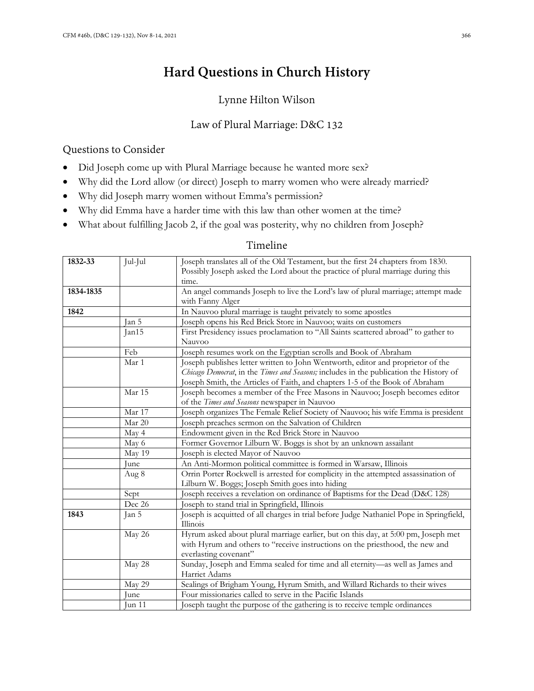# **Hard Questions in Church History**

# Lynne Hilton Wilson

# Law of Plural Marriage: D&C 132

### Questions to Consider

- Did Joseph come up with Plural Marriage because he wanted more sex?
- Why did the Lord allow (or direct) Joseph to marry women who were already married?
- Why did Joseph marry women without Emma's permission?
- Why did Emma have a harder time with this law than other women at the time?
- What about fulfilling Jacob 2, if the goal was posterity, why no children from Joseph?

# Timeline

| 1832-33   | Jul-Jul | Joseph translates all of the Old Testament, but the first 24 chapters from 1830.<br>Possibly Joseph asked the Lord about the practice of plural marriage during this<br>time.                |
|-----------|---------|----------------------------------------------------------------------------------------------------------------------------------------------------------------------------------------------|
|           |         |                                                                                                                                                                                              |
| 1834-1835 |         | An angel commands Joseph to live the Lord's law of plural marriage; attempt made<br>with Fanny Alger                                                                                         |
| 1842      |         | In Nauvoo plural marriage is taught privately to some apostles                                                                                                                               |
|           | Jan 5   | Joseph opens his Red Brick Store in Nauvoo; waits on customers                                                                                                                               |
|           | Jan15   | First Presidency issues proclamation to "All Saints scattered abroad" to gather to                                                                                                           |
|           |         | Nauvoo                                                                                                                                                                                       |
|           | Feb     | Joseph resumes work on the Egyptian scrolls and Book of Abraham                                                                                                                              |
|           | Mar 1   | Joseph publishes letter written to John Wentworth, editor and proprietor of the                                                                                                              |
|           |         | Chicago Democrat, in the Times and Seasons; includes in the publication the History of                                                                                                       |
|           |         | Joseph Smith, the Articles of Faith, and chapters 1-5 of the Book of Abraham                                                                                                                 |
|           | Mar 15  | Joseph becomes a member of the Free Masons in Nauvoo; Joseph becomes editor                                                                                                                  |
|           |         | of the Times and Seasons newspaper in Nauvoo                                                                                                                                                 |
|           | Mar 17  | Joseph organizes The Female Relief Society of Nauvoo; his wife Emma is president                                                                                                             |
|           | Mar 20  | Joseph preaches sermon on the Salvation of Children                                                                                                                                          |
|           | May 4   | Endowment given in the Red Brick Store in Nauvoo                                                                                                                                             |
|           | May 6   | Former Governor Lilburn W. Boggs is shot by an unknown assailant                                                                                                                             |
|           | May 19  | Joseph is elected Mayor of Nauvoo                                                                                                                                                            |
|           | June    | An Anti-Mormon political committee is formed in Warsaw, Illinois                                                                                                                             |
|           | Aug 8   | Orrin Porter Rockwell is arrested for complicity in the attempted assassination of                                                                                                           |
|           |         | Lilburn W. Boggs; Joseph Smith goes into hiding                                                                                                                                              |
|           | Sept    | Joseph receives a revelation on ordinance of Baptisms for the Dead (D&C 128)                                                                                                                 |
|           | Dec 26  | Joseph to stand trial in Springfield, Illinois                                                                                                                                               |
| 1843      | Jan 5   | Joseph is acquitted of all charges in trial before Judge Nathaniel Pope in Springfield,<br>Illinois                                                                                          |
|           | May 26  | Hyrum asked about plural marriage earlier, but on this day, at 5:00 pm, Joseph met<br>with Hyrum and others to "receive instructions on the priesthood, the new and<br>everlasting covenant" |
|           | May 28  | Sunday, Joseph and Emma sealed for time and all eternity-as well as James and<br>Harriet Adams                                                                                               |
|           | May 29  | Sealings of Brigham Young, Hyrum Smith, and Willard Richards to their wives                                                                                                                  |
|           | June    | Four missionaries called to serve in the Pacific Islands                                                                                                                                     |
|           | Jun 11  | Joseph taught the purpose of the gathering is to receive temple ordinances                                                                                                                   |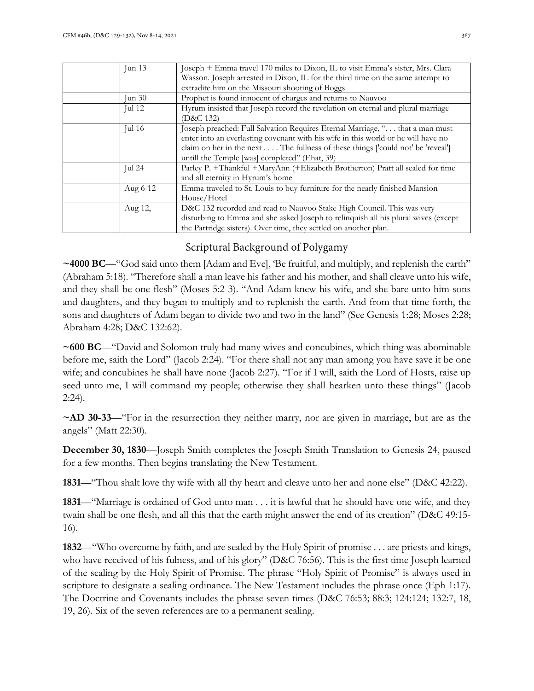| Jun $13$         | Joseph + Emma travel 170 miles to Dixon, IL to visit Emma's sister, Mrs. Clara<br>Wasson. Joseph arrested in Dixon, IL for the third time on the same attempt to<br>extradite him on the Missouri shooting of Boggs                                                                                                                 |
|------------------|-------------------------------------------------------------------------------------------------------------------------------------------------------------------------------------------------------------------------------------------------------------------------------------------------------------------------------------|
| $\text{Jun } 30$ | Prophet is found innocent of charges and returns to Nauvoo                                                                                                                                                                                                                                                                          |
| Jul $12$         | Hyrum insisted that Joseph record the revelation on eternal and plural marriage<br>(D&C 132)                                                                                                                                                                                                                                        |
| Jul $16$         | Joseph preached: Full Salvation Requires Eternal Marriage, ". that a man must<br>enter into an everlasting covenant with his wife in this world or he will have no<br>claim on her in the next $\dots$ . The fullness of these things $\lceil \text{could not} \rceil$ be 'reveal'<br>untill the Temple [was] completed" (Ehat, 39) |
| Jul $24$         | Parley P. +Thankful +MaryAnn (+Elizabeth Brotherton) Pratt all sealed for time<br>and all eternity in Hyrum's home                                                                                                                                                                                                                  |
| Aug 6-12         | Emma traveled to St. Louis to buy furniture for the nearly finished Mansion<br>House/Hotel                                                                                                                                                                                                                                          |
| Aug 12,          | D&C 132 recorded and read to Nauvoo Stake High Council. This was very<br>disturbing to Emma and she asked Joseph to relinquish all his plural wives (except<br>the Partridge sisters). Over time, they settled on another plan.                                                                                                     |

# Scriptural Background of Polygamy

**~4000 BC**—"God said unto them [Adam and Eve], 'Be fruitful, and multiply, and replenish the earth" (Abraham 5:18). "Therefore shall a man leave his father and his mother, and shall cleave unto his wife, and they shall be one flesh" (Moses 5:2-3). "And Adam knew his wife, and she bare unto him sons and daughters, and they began to multiply and to replenish the earth. And from that time forth, the sons and daughters of Adam began to divide two and two in the land" (See Genesis 1:28; Moses 2:28; Abraham 4:28; D&C 132:62).

**~600 BC**—"David and Solomon truly had many wives and concubines, which thing was abominable before me, saith the Lord" (Jacob 2:24). "For there shall not any man among you have save it be one wife; and concubines he shall have none (Jacob 2:27). "For if I will, saith the Lord of Hosts, raise up seed unto me, I will command my people; otherwise they shall hearken unto these things" (Jacob 2:24).

**~AD 30-33**—"For in the resurrection they neither marry, nor are given in marriage, but are as the angels" (Matt 22:30).

**December 30, 1830**—Joseph Smith completes the Joseph Smith Translation to Genesis 24, paused for a few months. Then begins translating the New Testament.

**1831***—*"Thou shalt love thy wife with all thy heart and cleave unto her and none else" (D&C 42:22).

**1831**—"Marriage is ordained of God unto man . . . it is lawful that he should have one wife, and they twain shall be one flesh, and all this that the earth might answer the end of its creation" (D&C 49:15- 16).

**1832**—"Who overcome by faith, and are sealed by the Holy Spirit of promise . . . are priests and kings, who have received of his fulness, and of his glory" (D&C 76:56). This is the first time Joseph learned of the sealing by the Holy Spirit of Promise. The phrase "Holy Spirit of Promise" is always used in scripture to designate a sealing ordinance. The New Testament includes the phrase once (Eph 1:17). The Doctrine and Covenants includes the phrase seven times (D&C 76:53; 88:3; 124:124; 132:7, 18, 19, 26). Six of the seven references are to a permanent sealing.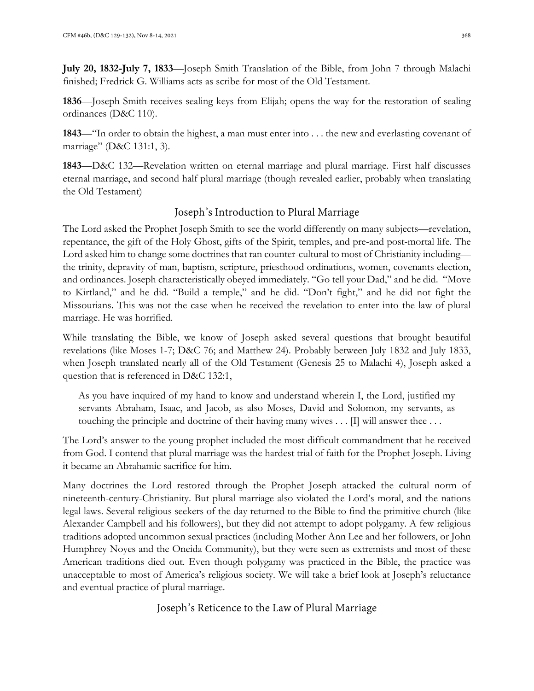**July 20, 1832-July 7, 1833**—Joseph Smith Translation of the Bible, from John 7 through Malachi finished; Fredrick G. Williams acts as scribe for most of the Old Testament.

**1836**—Joseph Smith receives sealing keys from Elijah; opens the way for the restoration of sealing ordinances (D&C 110).

**1843**—"In order to obtain the highest, a man must enter into . . . the new and everlasting covenant of marriage" (D&C 131:1, 3).

**1843**—D&C 132—Revelation written on eternal marriage and plural marriage. First half discusses eternal marriage, and second half plural marriage (though revealed earlier, probably when translating the Old Testament)

# Joseph's Introduction to Plural Marriage

The Lord asked the Prophet Joseph Smith to see the world differently on many subjects—revelation, repentance, the gift of the Holy Ghost, gifts of the Spirit, temples, and pre-and post-mortal life. The Lord asked him to change some doctrines that ran counter-cultural to most of Christianity including the trinity, depravity of man, baptism, scripture, priesthood ordinations, women, covenants election, and ordinances. Joseph characteristically obeyed immediately. "Go tell your Dad," and he did. "Move to Kirtland," and he did. "Build a temple," and he did. "Don't fight," and he did not fight the Missourians. This was not the case when he received the revelation to enter into the law of plural marriage. He was horrified.

While translating the Bible, we know of Joseph asked several questions that brought beautiful revelations (like Moses 1-7; D&C 76; and Matthew 24). Probably between July 1832 and July 1833, when Joseph translated nearly all of the Old Testament (Genesis 25 to Malachi 4), Joseph asked a question that is referenced in D&C 132:1,

As you have inquired of my hand to know and understand wherein I, the Lord, justified my servants Abraham, Isaac, and Jacob, as also Moses, David and Solomon, my servants, as touching the principle and doctrine of their having many wives  $\ldots$  [I] will answer thee  $\ldots$ 

The Lord's answer to the young prophet included the most difficult commandment that he received from God. I contend that plural marriage was the hardest trial of faith for the Prophet Joseph. Living it became an Abrahamic sacrifice for him.

Many doctrines the Lord restored through the Prophet Joseph attacked the cultural norm of nineteenth-century-Christianity. But plural marriage also violated the Lord's moral, and the nations legal laws. Several religious seekers of the day returned to the Bible to find the primitive church (like Alexander Campbell and his followers), but they did not attempt to adopt polygamy. A few religious traditions adopted uncommon sexual practices (including Mother Ann Lee and her followers, or John Humphrey Noyes and the Oneida Community), but they were seen as extremists and most of these American traditions died out. Even though polygamy was practiced in the Bible, the practice was unacceptable to most of America's religious society. We will take a brief look at Joseph's reluctance and eventual practice of plural marriage.

Joseph's Reticence to the Law of Plural Marriage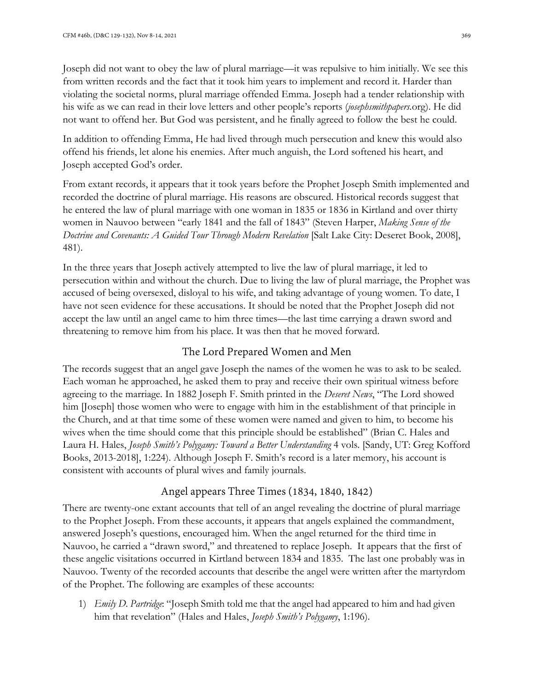Joseph did not want to obey the law of plural marriage—it was repulsive to him initially. We see this from written records and the fact that it took him years to implement and record it. Harder than violating the societal norms, plural marriage offended Emma. Joseph had a tender relationship with his wife as we can read in their love letters and other people's reports (*josephsmithpapers.*org). He did not want to offend her. But God was persistent, and he finally agreed to follow the best he could.

In addition to offending Emma, He had lived through much persecution and knew this would also offend his friends, let alone his enemies. After much anguish, the Lord softened his heart, and Joseph accepted God's order.

From extant records, it appears that it took years before the Prophet Joseph Smith implemented and recorded the doctrine of plural marriage. His reasons are obscured. Historical records suggest that he entered the law of plural marriage with one woman in 1835 or 1836 in Kirtland and over thirty women in Nauvoo between "early 1841 and the fall of 1843" (Steven Harper, *Making Sense of the Doctrine and Covenants: A Guided Tour Through Modern Revelation* [Salt Lake City: Deseret Book, 2008], 481).

In the three years that Joseph actively attempted to live the law of plural marriage, it led to persecution within and without the church. Due to living the law of plural marriage, the Prophet was accused of being oversexed, disloyal to his wife, and taking advantage of young women. To date, I have not seen evidence for these accusations. It should be noted that the Prophet Joseph did not accept the law until an angel came to him three times—the last time carrying a drawn sword and threatening to remove him from his place. It was then that he moved forward.

# The Lord Prepared Women and Men

The records suggest that an angel gave Joseph the names of the women he was to ask to be sealed. Each woman he approached, he asked them to pray and receive their own spiritual witness before agreeing to the marriage. In 1882 Joseph F. Smith printed in the *Deseret News*, "The Lord showed him [Joseph] those women who were to engage with him in the establishment of that principle in the Church, and at that time some of these women were named and given to him, to become his wives when the time should come that this principle should be established" (Brian C. Hales and Laura H. Hales, *Joseph Smith's Polygamy: Toward a Better Understanding* 4 vols*.* [Sandy, UT: Greg Kofford Books, 2013-2018], 1:224). Although Joseph F. Smith's record is a later memory, his account is consistent with accounts of plural wives and family journals.

# Angel appears Three Times (1834, 1840, 1842)

There are twenty-one extant accounts that tell of an angel revealing the doctrine of plural marriage to the Prophet Joseph. From these accounts, it appears that angels explained the commandment, answered Joseph's questions, encouraged him. When the angel returned for the third time in Nauvoo, he carried a "drawn sword," and threatened to replace Joseph. It appears that the first of these angelic visitations occurred in Kirtland between 1834 and 1835. The last one probably was in Nauvoo. Twenty of the recorded accounts that describe the angel were written after the martyrdom of the Prophet. The following are examples of these accounts:

1) *Emily D. Partridge*: "Joseph Smith told me that the angel had appeared to him and had given him that revelation" (Hales and Hales, *Joseph Smith's Polygamy*, 1:196).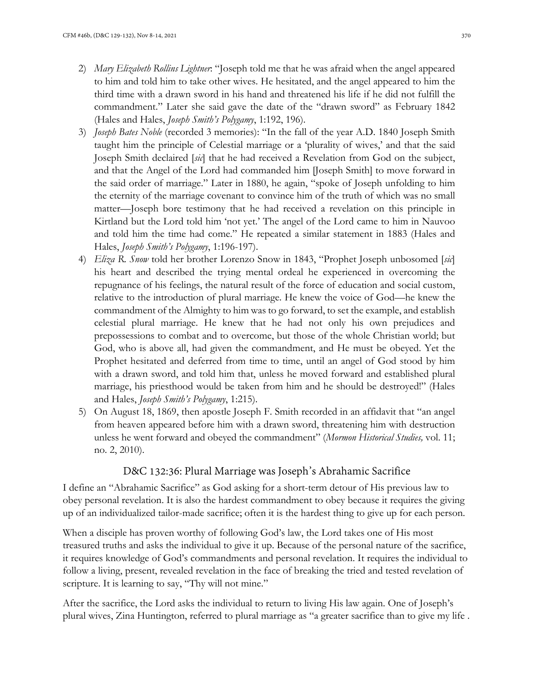- 2) *Mary Elizabeth Rollins Lightner*: "Joseph told me that he was afraid when the angel appeared to him and told him to take other wives. He hesitated, and the angel appeared to him the third time with a drawn sword in his hand and threatened his life if he did not fulfill the commandment." Later she said gave the date of the "drawn sword" as February 1842 (Hales and Hales, *Joseph Smith's Polygamy*, 1:192, 196).
- 3) *Joseph Bates Noble* (recorded 3 memories): "In the fall of the year A.D. 1840 Joseph Smith taught him the principle of Celestial marriage or a 'plurality of wives,' and that the said Joseph Smith declaired [*sic*] that he had received a Revelation from God on the subject, and that the Angel of the Lord had commanded him [Joseph Smith] to move forward in the said order of marriage." Later in 1880, he again, "spoke of Joseph unfolding to him the eternity of the marriage covenant to convince him of the truth of which was no small matter—Joseph bore testimony that he had received a revelation on this principle in Kirtland but the Lord told him 'not yet.' The angel of the Lord came to him in Nauvoo and told him the time had come." He repeated a similar statement in 1883 (Hales and Hales, *Joseph Smith's Polygamy*, 1:196-197).
- 4) *Eliza R. Snow* told her brother Lorenzo Snow in 1843, "Prophet Joseph unbosomed [*sic*] his heart and described the trying mental ordeal he experienced in overcoming the repugnance of his feelings, the natural result of the force of education and social custom, relative to the introduction of plural marriage. He knew the voice of God—he knew the commandment of the Almighty to him was to go forward, to set the example, and establish celestial plural marriage. He knew that he had not only his own prejudices and prepossessions to combat and to overcome, but those of the whole Christian world; but God, who is above all, had given the commandment, and He must be obeyed. Yet the Prophet hesitated and deferred from time to time, until an angel of God stood by him with a drawn sword, and told him that, unless he moved forward and established plural marriage, his priesthood would be taken from him and he should be destroyed!" (Hales and Hales, *Joseph Smith's Polygamy*, 1:215).
- 5) On August 18, 1869, then apostle Joseph F. Smith recorded in an affidavit that "an angel from heaven appeared before him with a drawn sword, threatening him with destruction unless he went forward and obeyed the commandment" (*Mormon Historical Studies,* vol. 11; no. 2, 2010).

# D&C 132:36: Plural Marriage was Joseph's Abrahamic Sacrifice

I define an "Abrahamic Sacrifice" as God asking for a short-term detour of His previous law to obey personal revelation. It is also the hardest commandment to obey because it requires the giving up of an individualized tailor-made sacrifice; often it is the hardest thing to give up for each person.

When a disciple has proven worthy of following God's law, the Lord takes one of His most treasured truths and asks the individual to give it up. Because of the personal nature of the sacrifice, it requires knowledge of God's commandments and personal revelation. It requires the individual to follow a living, present, revealed revelation in the face of breaking the tried and tested revelation of scripture. It is learning to say, "Thy will not mine."

After the sacrifice, the Lord asks the individual to return to living His law again. One of Joseph's plural wives, Zina Huntington, referred to plural marriage as "a greater sacrifice than to give my life .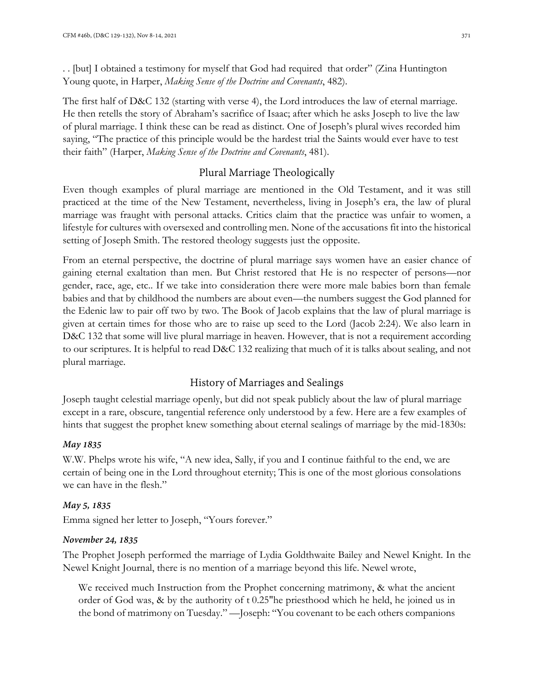. . [but] I obtained a testimony for myself that God had required that order" (Zina Huntington Young quote, in Harper, *Making Sense of the Doctrine and Covenants*, 482).

The first half of D&C 132 (starting with verse 4), the Lord introduces the law of eternal marriage. He then retells the story of Abraham's sacrifice of Isaac; after which he asks Joseph to live the law of plural marriage. I think these can be read as distinct. One of Joseph's plural wives recorded him saying, "The practice of this principle would be the hardest trial the Saints would ever have to test their faith" (Harper, *Making Sense of the Doctrine and Covenants*, 481).

# Plural Marriage Theologically

Even though examples of plural marriage are mentioned in the Old Testament, and it was still practiced at the time of the New Testament, nevertheless, living in Joseph's era, the law of plural marriage was fraught with personal attacks. Critics claim that the practice was unfair to women, a lifestyle for cultures with oversexed and controlling men. None of the accusations fit into the historical setting of Joseph Smith. The restored theology suggests just the opposite.

From an eternal perspective, the doctrine of plural marriage says women have an easier chance of gaining eternal exaltation than men. But Christ restored that He is no respecter of persons—nor gender, race, age, etc.. If we take into consideration there were more male babies born than female babies and that by childhood the numbers are about even—the numbers suggest the God planned for the Edenic law to pair off two by two. The Book of Jacob explains that the law of plural marriage is given at certain times for those who are to raise up seed to the Lord (Jacob 2:24). We also learn in D&C 132 that some will live plural marriage in heaven. However, that is not a requirement according to our scriptures. It is helpful to read D&C 132 realizing that much of it is talks about sealing, and not plural marriage.

# History of Marriages and Sealings

Joseph taught celestial marriage openly, but did not speak publicly about the law of plural marriage except in a rare, obscure, tangential reference only understood by a few. Here are a few examples of hints that suggest the prophet knew something about eternal sealings of marriage by the mid-1830s:

#### *May 1835*

W.W. Phelps wrote his wife, "A new idea, Sally, if you and I continue faithful to the end, we are certain of being one in the Lord throughout eternity; This is one of the most glorious consolations we can have in the flesh."

#### *May 5, 1835*

Emma signed her letter to Joseph, "Yours forever."

#### *November 24, 1835*

The Prophet Joseph performed the marriage of Lydia Goldthwaite Bailey and Newel Knight. In the Newel Knight Journal, there is no mention of a marriage beyond this life. Newel wrote,

We received much Instruction from the Prophet concerning matrimony, & what the ancient order of God was, & by the authority of t 0.25"he priesthood which he held, he joined us in the bond of matrimony on Tuesday." —Joseph: "You covenant to be each others companions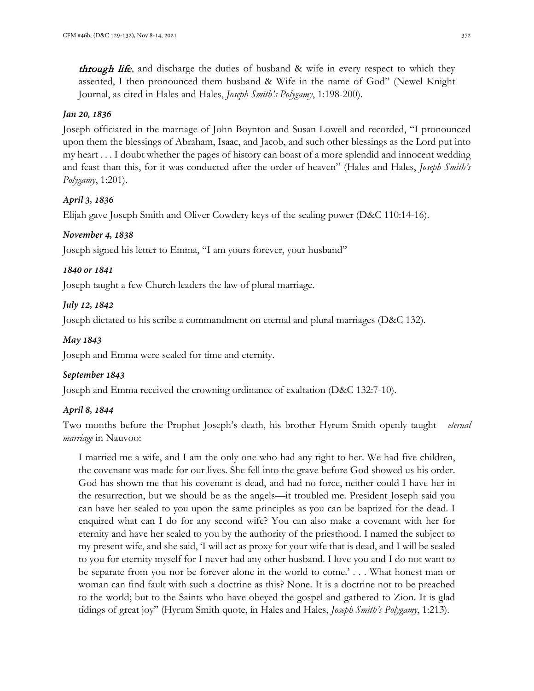*through life*, and discharge the duties of husband & wife in every respect to which they assented, I then pronounced them husband & Wife in the name of God" (Newel Knight Journal, as cited in Hales and Hales, *Joseph Smith's Polygamy*, 1:198-200).

#### *Jan 20, 1836*

Joseph officiated in the marriage of John Boynton and Susan Lowell and recorded, "I pronounced upon them the blessings of Abraham, Isaac, and Jacob, and such other blessings as the Lord put into my heart . . . I doubt whether the pages of history can boast of a more splendid and innocent wedding and feast than this, for it was conducted after the order of heaven" (Hales and Hales, *Joseph Smith's Polygamy*, 1:201).

#### *April 3, 1836*

Elijah gave Joseph Smith and Oliver Cowdery keys of the sealing power (D&C 110:14-16).

#### *November 4, 1838*

Joseph signed his letter to Emma, "I am yours forever, your husband"

#### *1840 or 1841*

Joseph taught a few Church leaders the law of plural marriage.

#### *July 12, 1842*

Joseph dictated to his scribe a commandment on eternal and plural marriages (D&C 132).

#### *May 1843*

Joseph and Emma were sealed for time and eternity.

#### *September 1843*

Joseph and Emma received the crowning ordinance of exaltation (D&C 132:7-10).

#### *April 8, 1844*

Two months before the Prophet Joseph's death, his brother Hyrum Smith openly taught *eternal marriage* in Nauvoo:

I married me a wife, and I am the only one who had any right to her. We had five children, the covenant was made for our lives. She fell into the grave before God showed us his order. God has shown me that his covenant is dead, and had no force, neither could I have her in the resurrection, but we should be as the angels—it troubled me. President Joseph said you can have her sealed to you upon the same principles as you can be baptized for the dead. I enquired what can I do for any second wife? You can also make a covenant with her for eternity and have her sealed to you by the authority of the priesthood. I named the subject to my present wife, and she said, 'I will act as proxy for your wife that is dead, and I will be sealed to you for eternity myself for I never had any other husband. I love you and I do not want to be separate from you nor be forever alone in the world to come.' . . . What honest man or woman can find fault with such a doctrine as this? None. It is a doctrine not to be preached to the world; but to the Saints who have obeyed the gospel and gathered to Zion. It is glad tidings of great joy" (Hyrum Smith quote, in Hales and Hales, *Joseph Smith's Polygamy*, 1:213).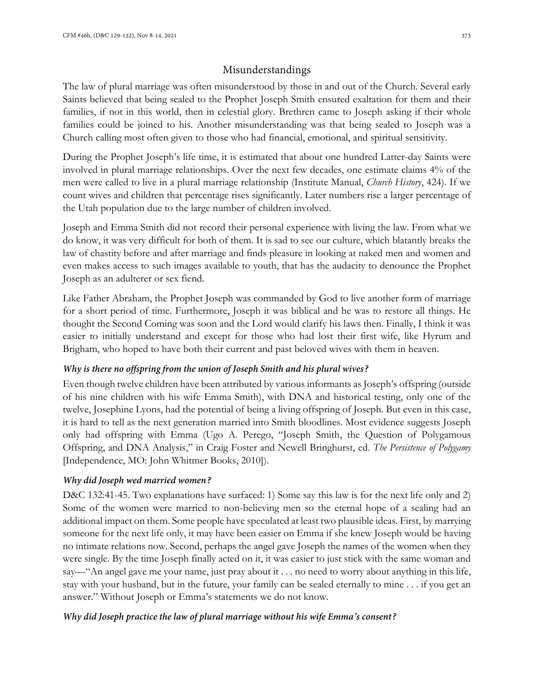### Misunderstandings

The law of plural marriage was often misunderstood by those in and out of the Church. Several early Saints believed that being sealed to the Prophet Joseph Smith ensured exaltation for them and their families, if not in this world, then in celestial glory. Brethren came to Joseph asking if their whole families could be joined to his. Another misunderstanding was that being sealed to Joseph was a Church calling most often given to those who had financial, emotional, and spiritual sensitivity.

During the Prophet Joseph's life time, it is estimated that about one hundred Latter-day Saints were involved in plural marriage relationships. Over the next few decades, one estimate claims 4% of the men were called to live in a plural marriage relationship (Institute Manual, *Church History*, 424). If we count wives and children that percentage rises significantly. Later numbers rise a larger percentage of the Utah population due to the large number of children involved.

Joseph and Emma Smith did not record their personal experience with living the law. From what we do know, it was very difficult for both of them. It is sad to see our culture, which blatantly breaks the law of chastity before and after marriage and finds pleasure in looking at naked men and women and even makes access to such images available to youth, that has the audacity to denounce the Prophet Joseph as an adulterer or sex fiend.

Like Father Abraham, the Prophet Joseph was commanded by God to live another form of marriage for a short period of time. Furthermore, Joseph it was biblical and he was to restore all things. He thought the Second Coming was soon and the Lord would clarify his laws then. Finally, I think it was easier to initially understand and except for those who had lost their first wife, like Hyrum and Brigham, who hoped to have both their current and past beloved wives with them in heaven.

#### *Why is there no offspring from the union of Joseph Smith and his plural wives?*

Even though twelve children have been attributed by various informants as Joseph's offspring (outside of his nine children with his wife Emma Smith), with DNA and historical testing, only one of the twelve, Josephine Lyons, had the potential of being a living offspring of Joseph. But even in this case, it is hard to tell as the next generation married into Smith bloodlines. Most evidence suggests Joseph only had offspring with Emma (Ugo A. Perego, "Joseph Smith, the Question of Polygamous Offspring, and DNA Analysis," in Craig Foster and Newell Bringhurst, ed. *The Persistence of Polygamy* [Independence, MO: John Whitmer Books, 2010]).

#### *Why did Joseph wed married women?*

D&C 132:41-45. Two explanations have surfaced: 1) Some say this law is for the next life only and 2) Some of the women were married to non-believing men so the eternal hope of a sealing had an additional impact on them. Some people have speculated at least two plausible ideas. First, by marrying someone for the next life only, it may have been easier on Emma if she knew Joseph would be having no intimate relations now. Second, perhaps the angel gave Joseph the names of the women when they were single. By the time Joseph finally acted on it, it was easier to just stick with the same woman and say—"An angel gave me your name, just pray about it . . . no need to worry about anything in this life, stay with your husband, but in the future, your family can be sealed eternally to mine . . . if you get an answer." Without Joseph or Emma's statements we do not know.

#### *Why did Joseph practice the law of plural marriage without his wife Emma's consent?*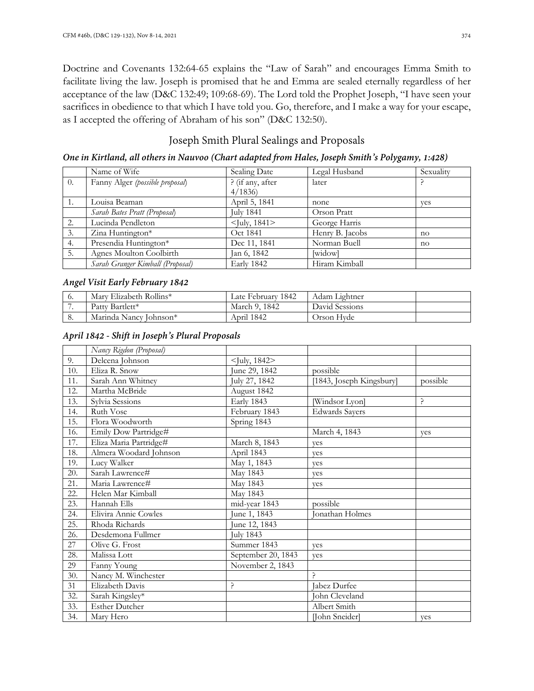Doctrine and Covenants 132:64-65 explains the "Law of Sarah" and encourages Emma Smith to facilitate living the law. Joseph is promised that he and Emma are sealed eternally regardless of her acceptance of the law (D&C 132:49; 109:68-69). The Lord told the Prophet Joseph, "I have seen your sacrifices in obedience to that which I have told you. Go, therefore, and I make a way for your escape, as I accepted the offering of Abraham of his son" (D&C 132:50).

### Joseph Smith Plural Sealings and Proposals

*One in Kirtland, all others in Nauvoo (Chart adapted from Hales, Joseph Smith's Polygamy, 1:428)*

|    | Name of Wife                     | Sealing Date          | Legal Husband   | Sexuality |
|----|----------------------------------|-----------------------|-----------------|-----------|
| 0. | Fanny Alger (possible proposal)  | ? (if any, after      | later           |           |
|    |                                  | 4/1836                |                 |           |
|    | Louisa Beaman                    | April 5, 1841         | none            | ves       |
|    | Sarah Bates Pratt (Proposal)     | <b>July 1841</b>      | Orson Pratt     |           |
| 2. | Lucinda Pendleton                | $\langle$ July, 1841> | George Harris   |           |
| 3. | Zina Huntington*                 | Oct 1841              | Henry B. Jacobs | no        |
| 4. | Presendia Huntington*            | Dec 11, 1841          | Norman Buell    | no        |
| 5. | Agnes Moulton Coolbirth          | Jan 6, 1842           | [widow]         |           |
|    | Sarah Granger Kimball (Proposal) | Early 1842            | Hiram Kimball   |           |

#### *Angel Visit Early February 1842*

| ο. | Mary Elizabeth Rollins* | Late Februarv 1842 | Adam Lightner  |  |
|----|-------------------------|--------------------|----------------|--|
|    | Patty Bartlett*         | March 9, 1842      | David Sessions |  |
| 0. | Marinda Nancy Johnson*  | April 1842         | Drson Hvde     |  |

*April 1842 - Shift in Joseph's Plural Proposals*

|     | Nancy Rigdon (Proposal) |                       |                          |          |
|-----|-------------------------|-----------------------|--------------------------|----------|
| 9.  | Delcena Johnson         | $\langle$ July, 1842> |                          |          |
| 10. | Eliza R. Snow           | June 29, 1842         | possible                 |          |
| 11. | Sarah Ann Whitney       | July 27, 1842         | [1843, Joseph Kingsbury] | possible |
| 12. | Martha McBride          | August 1842           |                          |          |
| 13. | Sylvia Sessions         | Early 1843            | [Windsor Lyon]           | ?        |
| 14. | <b>Ruth Vose</b>        | February 1843         | <b>Edwards Sayers</b>    |          |
| 15. | Flora Woodworth         | Spring 1843           |                          |          |
| 16. | Emily Dow Partridge#    |                       | March 4, 1843            | yes      |
| 17. | Eliza Maria Partridge#  | March 8, 1843         | ves                      |          |
| 18. | Almera Woodard Johnson  | April 1843            | ves                      |          |
| 19. | Lucy Walker             | May 1, 1843           | ves                      |          |
| 20. | Sarah Lawrence#         | May 1843              | ves                      |          |
| 21. | Maria Lawrence#         | May 1843              | ves                      |          |
| 22. | Helen Mar Kimball       | May 1843              |                          |          |
| 23. | Hannah Ells             | mid-year 1843         | possible                 |          |
| 24. | Elivira Annie Cowles    | June 1, 1843          | Jonathan Holmes          |          |
| 25. | Rhoda Richards          | June 12, 1843         |                          |          |
| 26. | Desdemona Fullmer       | <b>July 1843</b>      |                          |          |
| 27  | Olive G. Frost          | Summer 1843           | ves                      |          |
| 28. | Malissa Lott            | September 20, 1843    | yes                      |          |
| 29  | Fanny Young             | November 2, 1843      |                          |          |
| 30. | Nancy M. Winchester     |                       | ς                        |          |
| 31  | Elizabeth Davis         | ڊ,                    | Jabez Durfee             |          |
| 32. | Sarah Kingsley*         |                       | John Cleveland           |          |
| 33. | <b>Esther Dutcher</b>   |                       | Albert Smith             |          |
| 34. | Mary Hero               |                       | [John Sneider]           | yes      |